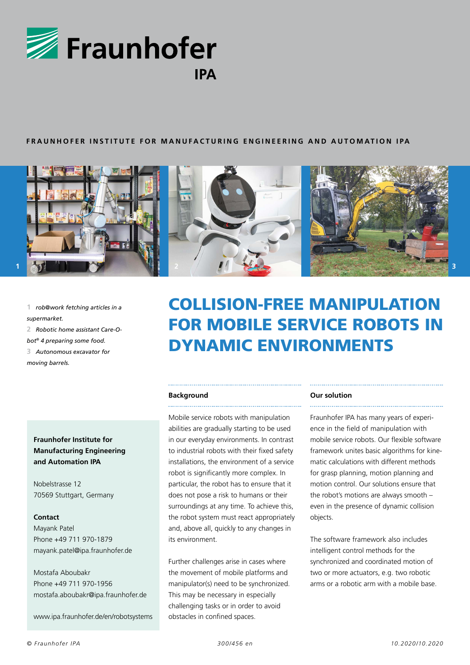

# **FRAUNHOFER INSTITUTE FOR MANUFACTURING ENGINEERING AND AUTOMATION IPA**



**1** *rob@work fetching articles in a supermarket.*

**2** *Robotic home assistant Care-O-*

*bot® 4 preparing some food.* **3** *Autonomous excavator for* 

*moving barrels.*

**Fraunhofer Institute for Manufacturing Engineering and Automation IPA** 

Nobelstrasse 12 70569 Stuttgart, Germany

## **Contact**

Mayank Patel Phone +49 711 970-1879 mayank.patel@ipa.fraunhofer.de

Mostafa Aboubakr Phone +49 711 970-1956 mostafa.aboubakr@ipa.fraunhofer.de

www.ipa.fraunhofer.de/en/robotsystems

# COLLISION-FREE MANIPULATION FOR MOBILE SERVICE ROBOTS IN DYNAMIC ENVIRONMENTS

# **Background**

Mobile service robots with manipulation abilities are gradually starting to be used in our everyday environments. In contrast to industrial robots with their fixed safety installations, the environment of a service robot is significantly more complex. In particular, the robot has to ensure that it does not pose a risk to humans or their surroundings at any time. To achieve this, the robot system must react appropriately and, above all, quickly to any changes in its environment.

Further challenges arise in cases where the movement of mobile platforms and manipulator(s) need to be synchronized. This may be necessary in especially challenging tasks or in order to avoid obstacles in confined spaces.

## **Our solution**

Fraunhofer IPA has many years of experience in the field of manipulation with mobile service robots. Our flexible software framework unites basic algorithms for kinematic calculations with different methods for grasp planning, motion planning and motion control. Our solutions ensure that the robot's motions are always smooth – even in the presence of dynamic collision objects.

The software framework also includes intelligent control methods for the synchronized and coordinated motion of two or more actuators, e.g. two robotic arms or a robotic arm with a mobile base.